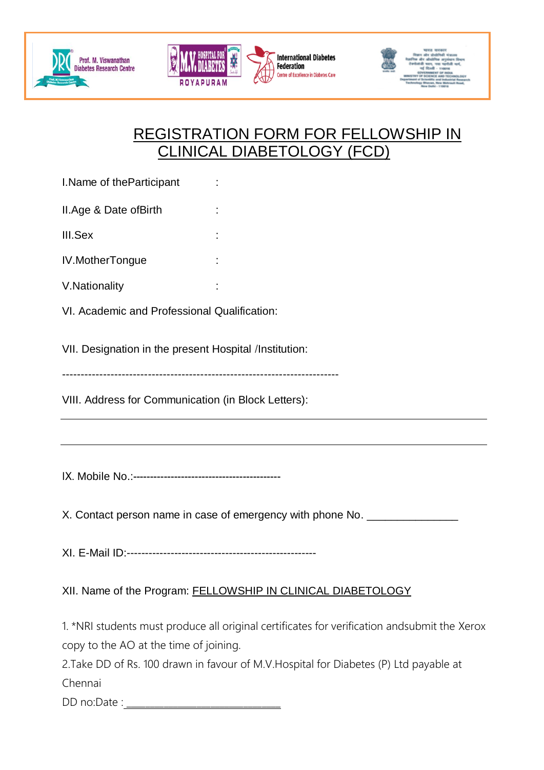



**International Diabetes Federation** Centre of Excellence in Diabetes Care



## REGISTRATION FORM FOR FELLOWSHIP IN CLINICAL DIABETOLOGY (FCD)

I. Name of the Participant :

II.Age & Date ofBirth :

III.Sex

IV.MotherTongue :

- V.Nationality :
- VI. Academic and Professional Qualification:

VII. Designation in the present Hospital /Institution:

--------------------------------------------------------------------------

VIII. Address for Communication (in Block Letters):

IX. Mobile No.:-------------------------------------------

X. Contact person name in case of emergency with phone No.

XI. E-Mail ID:----------------------------------------------------

XII. Name of the Program: FELLOWSHIP IN CLINICAL DIABETOLOGY

1. \*NRI students must produce all original certificates for verification andsubmit the Xerox copy to the AO at the time of joining.

2.Take DD of Rs. 100 drawn in favour of M.V.Hospital for Diabetes (P) Ltd payable at Chennai

DD no:Date :